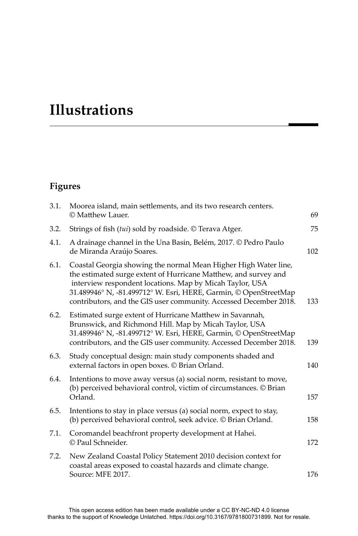## **Illustrations**

## **Figures**

| 3.1. | Moorea island, main settlements, and its two research centers.<br>© Matthew Lauer.                                                                                                                                                                                                                                                      | 69  |
|------|-----------------------------------------------------------------------------------------------------------------------------------------------------------------------------------------------------------------------------------------------------------------------------------------------------------------------------------------|-----|
| 3.2. | Strings of fish (tui) sold by roadside. © Terava Atger.                                                                                                                                                                                                                                                                                 | 75  |
| 4.1. | A drainage channel in the Una Basin, Belém, 2017. © Pedro Paulo<br>de Miranda Araújo Soares.                                                                                                                                                                                                                                            | 102 |
| 6.1. | Coastal Georgia showing the normal Mean Higher High Water line,<br>the estimated surge extent of Hurricane Matthew, and survey and<br>interview respondent locations. Map by Micah Taylor, USA<br>31.489946° N, -81.499712° W. Esri, HERE, Garmin, © OpenStreetMap<br>contributors, and the GIS user community. Accessed December 2018. | 133 |
| 6.2. | Estimated surge extent of Hurricane Matthew in Savannah,<br>Brunswick, and Richmond Hill. Map by Micah Taylor, USA<br>31.489946° N, -81.499712° W. Esri, HERE, Garmin, © OpenStreetMap<br>contributors, and the GIS user community. Accessed December 2018.                                                                             | 139 |
| 6.3. | Study conceptual design: main study components shaded and<br>external factors in open boxes. © Brian Orland.                                                                                                                                                                                                                            | 140 |
| 6.4. | Intentions to move away versus (a) social norm, resistant to move,<br>(b) perceived behavioral control, victim of circumstances. © Brian<br>Orland.                                                                                                                                                                                     | 157 |
| 6.5. | Intentions to stay in place versus (a) social norm, expect to stay,<br>(b) perceived behavioral control, seek advice. © Brian Orland.                                                                                                                                                                                                   | 158 |
| 7.1. | Coromandel beachfront property development at Hahei.<br>© Paul Schneider.                                                                                                                                                                                                                                                               | 172 |
| 7.2. | New Zealand Coastal Policy Statement 2010 decision context for<br>coastal areas exposed to coastal hazards and climate change.<br>Source: MFE 2017.                                                                                                                                                                                     | 176 |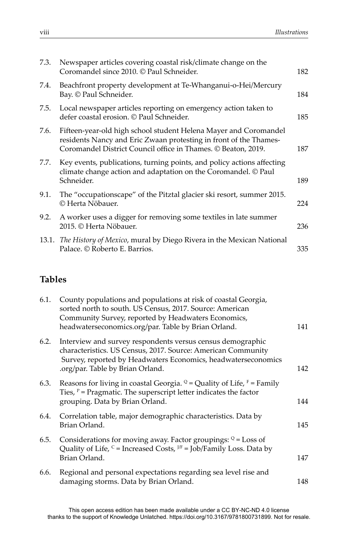| 7.3. | Newspaper articles covering coastal risk/climate change on the<br>Coromandel since 2010. © Paul Schneider.                                                                                             | 182 |
|------|--------------------------------------------------------------------------------------------------------------------------------------------------------------------------------------------------------|-----|
| 7.4. | Beachfront property development at Te-Whanganui-o-Hei/Mercury<br>Bay. © Paul Schneider.                                                                                                                | 184 |
| 7.5. | Local newspaper articles reporting on emergency action taken to<br>defer coastal erosion. © Paul Schneider.                                                                                            | 185 |
| 7.6. | Fifteen-year-old high school student Helena Mayer and Coromandel<br>residents Nancy and Eric Zwaan protesting in front of the Thames-<br>Coromandel District Council office in Thames. © Beaton, 2019. | 187 |
| 7.7. | Key events, publications, turning points, and policy actions affecting<br>climate change action and adaptation on the Coromandel. © Paul<br>Schneider.                                                 | 189 |
| 9.1. | The "occupationscape" of the Pitztal glacier ski resort, summer 2015.<br>© Herta Nöbauer.                                                                                                              | 224 |
| 9.2. | A worker uses a digger for removing some textiles in late summer<br>2015. © Herta Nöbauer.                                                                                                             | 236 |
|      | 13.1. The History of Mexico, mural by Diego Rivera in the Mexican National<br>Palace. © Roberto E. Barrios.                                                                                            | 335 |

## **Tables**

| 6.1. | County populations and populations at risk of coastal Georgia,<br>sorted north to south. US Census, 2017. Source: American<br>Community Survey, reported by Headwaters Economics,<br>headwaterseconomics.org/par. Table by Brian Orland. | 141 |
|------|------------------------------------------------------------------------------------------------------------------------------------------------------------------------------------------------------------------------------------------|-----|
| 6.2. | Interview and survey respondents versus census demographic<br>characteristics. US Census, 2017. Source: American Community<br>Survey, reported by Headwaters Economics, headwaterseconomics<br>.org/par. Table by Brian Orland.          | 142 |
| 6.3. | Reasons for living in coastal Georgia. $Q =$ Quality of Life, $F =$ Family<br>Ties, $P = Pragmatic$ . The superscript letter indicates the factor<br>grouping. Data by Brian Orland.                                                     | 144 |
| 6.4. | Correlation table, major demographic characteristics. Data by<br>Brian Orland.                                                                                                                                                           | 145 |
| 6.5. | Considerations for moving away. Factor groupings: $Q = Loss$ of<br>Quality of Life, $C =$ Increased Costs, $J/F =$ Job/Family Loss. Data by<br>Brian Orland.                                                                             | 147 |
| 6.6. | Regional and personal expectations regarding sea level rise and<br>damaging storms. Data by Brian Orland.                                                                                                                                | 148 |